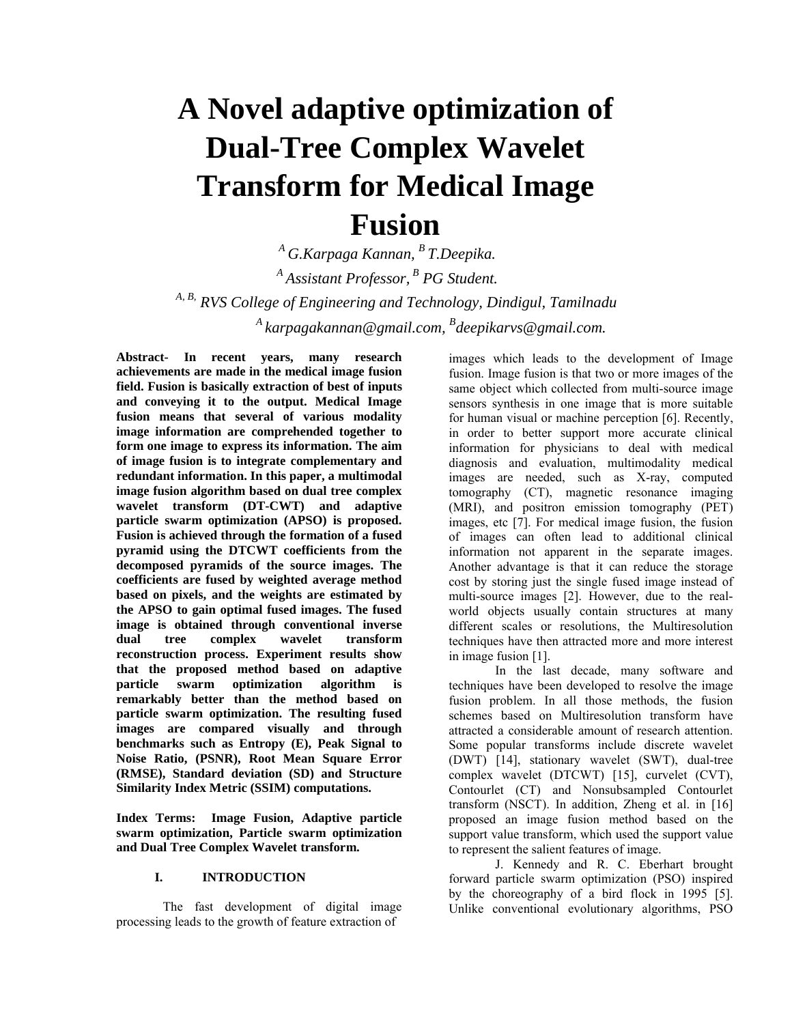# **A Novel adaptive optimization of Dual-Tree Complex Wavelet Transform for Medical Image Fusion**

*<sup>A</sup> G.Karpaga Kannan, B T.Deepika. <sup>A</sup> Assistant Professor, <sup>B</sup> PG Student. A, B, RVS College of Engineering and Technology, Dindigul, Tamilnadu <sup>A</sup> karpagakannan@gmail.com, B deepikarvs@gmail.com.*

**Abstract- In recent years, many research achievements are made in the medical image fusion field. Fusion is basically extraction of best of inputs and conveying it to the output. Medical Image fusion means that several of various modality image information are comprehended together to form one image to express its information. The aim of image fusion is to integrate complementary and redundant information. In this paper, a multimodal image fusion algorithm based on dual tree complex wavelet transform (DT-CWT) and adaptive particle swarm optimization (APSO) is proposed. Fusion is achieved through the formation of a fused pyramid using the DTCWT coefficients from the decomposed pyramids of the source images. The coefficients are fused by weighted average method based on pixels, and the weights are estimated by the APSO to gain optimal fused images. The fused image is obtained through conventional inverse dual tree complex wavelet transform reconstruction process. Experiment results show that the proposed method based on adaptive particle swarm optimization algorithm is remarkably better than the method based on particle swarm optimization. The resulting fused images are compared visually and through benchmarks such as Entropy (E), Peak Signal to Noise Ratio, (PSNR), Root Mean Square Error (RMSE), Standard deviation (SD) and Structure Similarity Index Metric (SSIM) computations.**

**Index Terms: Image Fusion, Adaptive particle swarm optimization, Particle swarm optimization and Dual Tree Complex Wavelet transform.**

# **I. INTRODUCTION**

The fast development of digital image processing leads to the growth of feature extraction of

images which leads to the development of Image fusion. Image fusion is that two or more images of the same object which collected from multi-source image sensors synthesis in one image that is more suitable for human visual or machine perception [6]. Recently, in order to better support more accurate clinical information for physicians to deal with medical diagnosis and evaluation, multimodality medical images are needed, such as X-ray, computed tomography (CT), magnetic resonance imaging (MRI), and positron emission tomography (PET) images, etc [7]. For medical image fusion, the fusion of images can often lead to additional clinical information not apparent in the separate images. Another advantage is that it can reduce the storage cost by storing just the single fused image instead of multi-source images [2]. However, due to the realworld objects usually contain structures at many different scales or resolutions, the Multiresolution techniques have then attracted more and more interest in image fusion [1].

In the last decade, many software and techniques have been developed to resolve the image fusion problem. In all those methods, the fusion schemes based on Multiresolution transform have attracted a considerable amount of research attention. Some popular transforms include discrete wavelet (DWT) [14], stationary wavelet (SWT), dual-tree complex wavelet (DTCWT) [15], curvelet (CVT), Contourlet (CT) and Nonsubsampled Contourlet transform (NSCT). In addition, Zheng et al. in [16] proposed an image fusion method based on the support value transform, which used the support value to represent the salient features of image.

J. Kennedy and R. C. Eberhart brought forward particle swarm optimization (PSO) inspired by the choreography of a bird flock in 1995 [5]. Unlike conventional evolutionary algorithms, PSO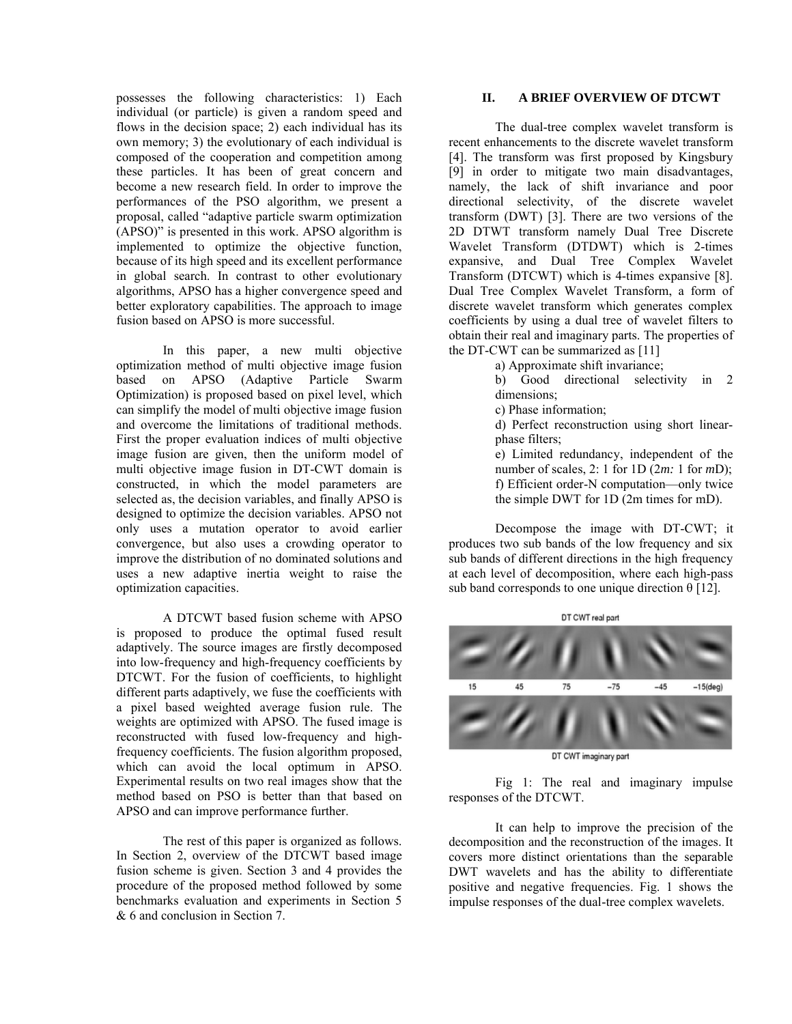possesses the following characteristics: 1) Each individual (or particle) is given a random speed and flows in the decision space; 2) each individual has its own memory; 3) the evolutionary of each individual is composed of the cooperation and competition among these particles. It has been of great concern and become a new research field. In order to improve the performances of the PSO algorithm, we present a proposal, called "adaptive particle swarm optimization (APSO)" is presented in this work. APSO algorithm is implemented to optimize the objective function, because of its high speed and its excellent performance in global search. In contrast to other evolutionary algorithms, APSO has a higher convergence speed and better exploratory capabilities. The approach to image fusion based on APSO is more successful.

In this paper, a new multi objective optimization method of multi objective image fusion based on APSO (Adaptive Particle Swarm Optimization) is proposed based on pixel level, which can simplify the model of multi objective image fusion and overcome the limitations of traditional methods. First the proper evaluation indices of multi objective image fusion are given, then the uniform model of multi objective image fusion in DT-CWT domain is constructed, in which the model parameters are selected as, the decision variables, and finally APSO is designed to optimize the decision variables. APSO not only uses a mutation operator to avoid earlier convergence, but also uses a crowding operator to improve the distribution of no dominated solutions and uses a new adaptive inertia weight to raise the optimization capacities.

A DTCWT based fusion scheme with APSO is proposed to produce the optimal fused result adaptively. The source images are firstly decomposed into low-frequency and high-frequency coefficients by DTCWT. For the fusion of coefficients, to highlight different parts adaptively, we fuse the coefficients with a pixel based weighted average fusion rule. The weights are optimized with APSO. The fused image is reconstructed with fused low-frequency and highfrequency coefficients. The fusion algorithm proposed, which can avoid the local optimum in APSO. Experimental results on two real images show that the method based on PSO is better than that based on APSO and can improve performance further.

The rest of this paper is organized as follows. In Section 2, overview of the DTCWT based image fusion scheme is given. Section 3 and 4 provides the procedure of the proposed method followed by some benchmarks evaluation and experiments in Section 5 & 6 and conclusion in Section 7.

## **II. A BRIEF OVERVIEW OF DTCWT**

The dual-tree complex wavelet transform is recent enhancements to the discrete wavelet transform [4]. The transform was first proposed by Kingsbury [9] in order to mitigate two main disadvantages, namely, the lack of shift invariance and poor directional selectivity, of the discrete wavelet transform (DWT) [3]. There are two versions of the 2D DTWT transform namely Dual Tree Discrete Wavelet Transform (DTDWT) which is 2-times expansive, and Dual Tree Complex Wavelet Transform (DTCWT) which is 4-times expansive [8]. Dual Tree Complex Wavelet Transform, a form of discrete wavelet transform which generates complex coefficients by using a dual tree of wavelet filters to obtain their real and imaginary parts. The properties of the DT-CWT can be summarized as [11]

a) Approximate shift invariance;

b) Good directional selectivity in 2 dimensions;

c) Phase information;

d) Perfect reconstruction using short linearphase filters;

e) Limited redundancy, independent of the number of scales, 2: 1 for 1D (2*m:* 1 for *m*D); f) Efficient order-N computation—only twice the simple DWT for 1D (2m times for mD).

Decompose the image with DT-CWT; it produces two sub bands of the low frequency and six sub bands of different directions in the high frequency at each level of decomposition, where each high-pass sub band corresponds to one unique direction  $\theta$  [12].



DT CWT imaginary part

Fig 1: The real and imaginary impulse responses of the DTCWT.

It can help to improve the precision of the decomposition and the reconstruction of the images. It covers more distinct orientations than the separable DWT wavelets and has the ability to differentiate positive and negative frequencies. Fig. 1 shows the impulse responses of the dual-tree complex wavelets.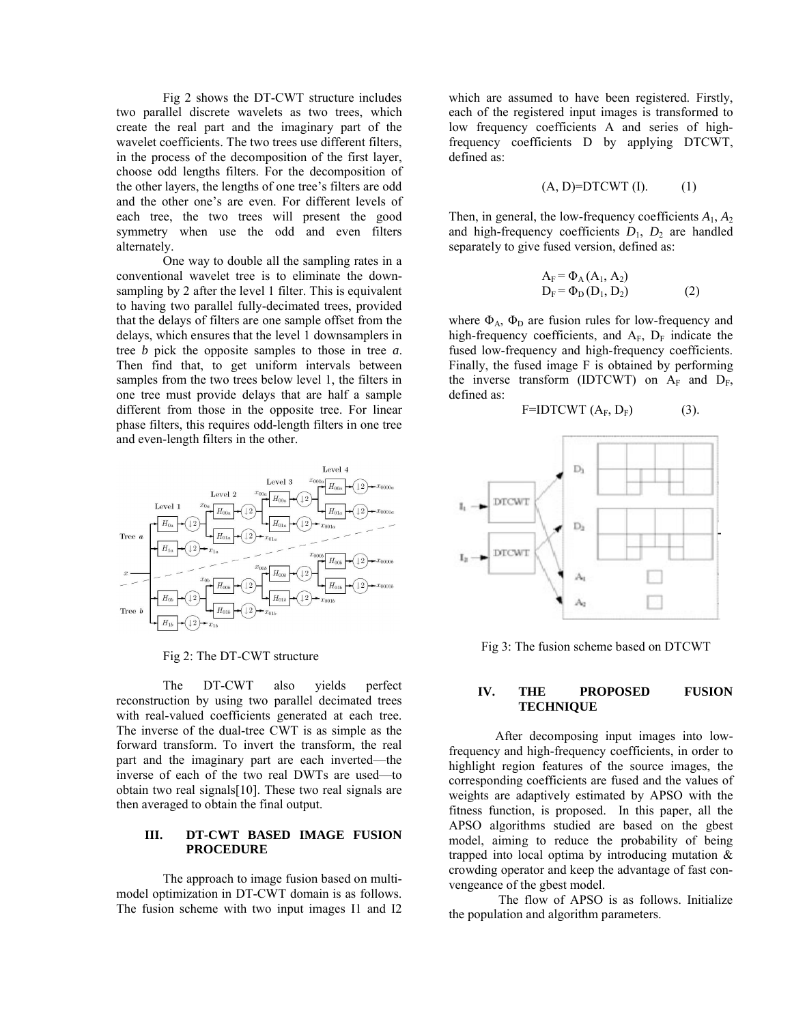Fig 2 shows the DT-CWT structure includes two parallel discrete wavelets as two trees, which create the real part and the imaginary part of the wavelet coefficients. The two trees use different filters, in the process of the decomposition of the first layer, choose odd lengths filters. For the decomposition of the other layers, the lengths of one tree's filters are odd and the other one's are even. For different levels of each tree, the two trees will present the good symmetry when use the odd and even filters alternately.

One way to double all the sampling rates in a conventional wavelet tree is to eliminate the downsampling by 2 after the level 1 filter. This is equivalent to having two parallel fully-decimated trees, provided that the delays of filters are one sample offset from the delays, which ensures that the level 1 downsamplers in tree *b* pick the opposite samples to those in tree *a*. Then find that, to get uniform intervals between samples from the two trees below level 1, the filters in one tree must provide delays that are half a sample different from those in the opposite tree. For linear phase filters, this requires odd-length filters in one tree and even-length filters in the other.



Fig 2: The DT-CWT structure

The DT-CWT also yields perfect reconstruction by using two parallel decimated trees with real-valued coefficients generated at each tree. The inverse of the dual-tree CWT is as simple as the forward transform. To invert the transform, the real part and the imaginary part are each inverted—the inverse of each of the two real DWTs are used—to obtain two real signals[10]. These two real signals are then averaged to obtain the final output.

# **III. DT-CWT BASED IMAGE FUSION PROCEDURE**

The approach to image fusion based on multimodel optimization in DT-CWT domain is as follows. The fusion scheme with two input images I1 and I2 which are assumed to have been registered. Firstly, each of the registered input images is transformed to low frequency coefficients A and series of highfrequency coefficients D by applying DTCWT, defined as:

$$
(A, D)=DTCWT(I). \t(1)
$$

Then, in general, the low-frequency coefficients  $A_1$ ,  $A_2$ and high-frequency coefficients  $D_1$ ,  $D_2$  are handled separately to give fused version, defined as:

$$
A_F = \Phi_A(A_1, A_2)
$$
  
\n
$$
D_F = \Phi_D(D_1, D_2)
$$
 (2)

where  $\Phi_A$ ,  $\Phi_D$  are fusion rules for low-frequency and high-frequency coefficients, and  $A_F$ ,  $D_F$  indicate the fused low-frequency and high-frequency coefficients. Finally, the fused image F is obtained by performing the inverse transform (IDTCWT) on  $A_F$  and  $D_F$ , defined as:

$$
F = IDTCWT (A_F, D_F)
$$
 (3).



Fig 3: The fusion scheme based on DTCWT

# **IV. THE PROPOSED FUSION TECHNIQUE**

After decomposing input images into lowfrequency and high-frequency coefficients, in order to highlight region features of the source images, the corresponding coefficients are fused and the values of weights are adaptively estimated by APSO with the fitness function, is proposed. In this paper, all the APSO algorithms studied are based on the gbest model, aiming to reduce the probability of being trapped into local optima by introducing mutation & crowding operator and keep the advantage of fast convengeance of the gbest model.

The flow of APSO is as follows. Initialize the population and algorithm parameters.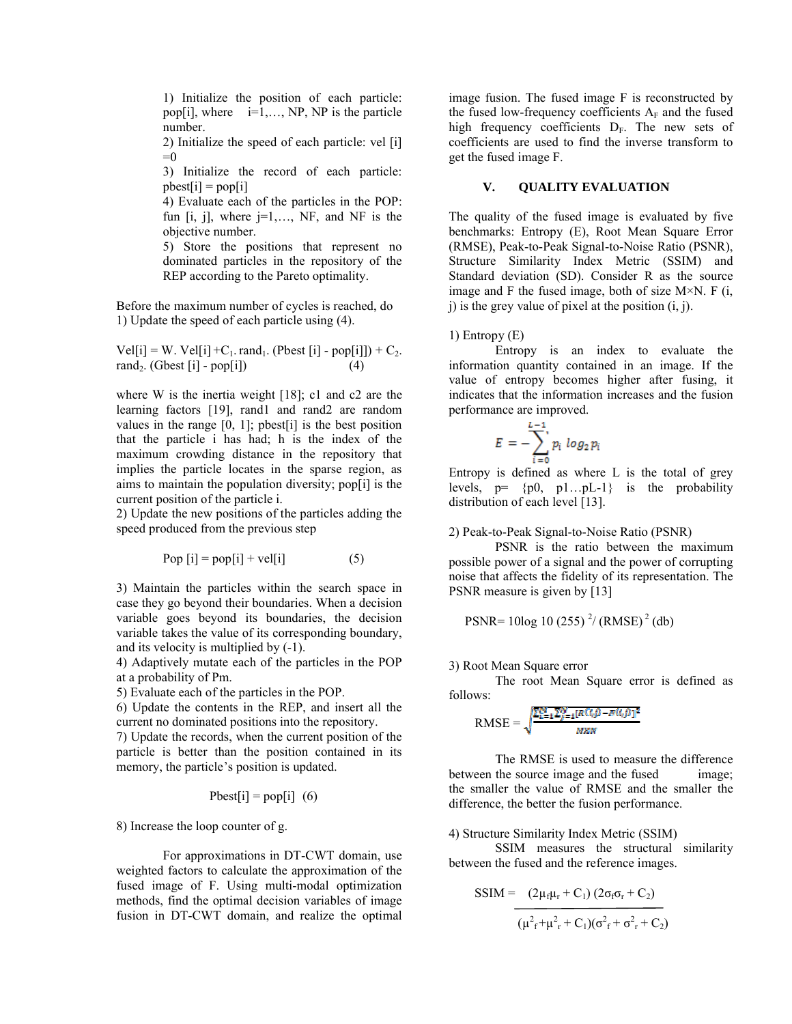1) Initialize the position of each particle: pop[i], where  $i=1,\ldots,NP$ , NP is the particle number.

2) Initialize the speed of each particle: vel [i]  $=0$ 

3) Initialize the record of each particle:  $pbest[i] = pop[i]$ 

4) Evaluate each of the particles in the POP: fun  $[i, j]$ , where  $j=1,..., NF$ , and NF is the objective number.

5) Store the positions that represent no dominated particles in the repository of the REP according to the Pareto optimality.

Before the maximum number of cycles is reached, do 1) Update the speed of each particle using (4).

 $Vel[i] = W. Vel[i] + C_1. rand_1. (Pbest[i] - pop[i]]) + C_2.$ rand<sub>2</sub>. (Gbest [i] - pop[i]) (4)

where W is the inertia weight [18]; c1 and c2 are the learning factors [19], rand1 and rand2 are random values in the range  $[0, 1]$ ; pbest $[i]$  is the best position that the particle i has had; h is the index of the maximum crowding distance in the repository that implies the particle locates in the sparse region, as aims to maintain the population diversity; pop[i] is the current position of the particle i.

2) Update the new positions of the particles adding the speed produced from the previous step

$$
Pop [i] = pop[i] + vel[i] \tag{5}
$$

3) Maintain the particles within the search space in case they go beyond their boundaries. When a decision variable goes beyond its boundaries, the decision variable takes the value of its corresponding boundary, and its velocity is multiplied by (-1).

4) Adaptively mutate each of the particles in the POP at a probability of Pm.

5) Evaluate each of the particles in the POP.

6) Update the contents in the REP, and insert all the current no dominated positions into the repository.

7) Update the records, when the current position of the particle is better than the position contained in its memory, the particle's position is updated.

$$
Pbest[i] = pop[i] (6)
$$

8) Increase the loop counter of g.

For approximations in DT-CWT domain, use weighted factors to calculate the approximation of the fused image of F. Using multi-modal optimization methods, find the optimal decision variables of image fusion in DT-CWT domain, and realize the optimal

image fusion. The fused image F is reconstructed by the fused low-frequency coefficients  $A_F$  and the fused high frequency coefficients  $D_F$ . The new sets of coefficients are used to find the inverse transform to get the fused image F.

# **V. QUALITY EVALUATION**

The quality of the fused image is evaluated by five benchmarks: Entropy (E), Root Mean Square Error (RMSE), Peak-to-Peak Signal-to-Noise Ratio (PSNR), Structure Similarity Index Metric (SSIM) and Standard deviation (SD). Consider R as the source image and F the fused image, both of size  $M \times N$ . F (i, j) is the grey value of pixel at the position (i, j).

## 1) Entropy (E)

Entropy is an index to evaluate the information quantity contained in an image. If the value of entropy becomes higher after fusing, it indicates that the information increases and the fusion performance are improved.

$$
E=-\sum_{i=0}^{L-1}p_i\ log_2 p_i
$$

Entropy is defined as where L is the total of grey levels,  $p = \{p0, p1...pL-1\}$  is the probability distribution of each level [13].

2) Peak-to-Peak Signal-to-Noise Ratio (PSNR)

PSNR is the ratio between the maximum possible power of a signal and the power of corrupting noise that affects the fidelity of its representation. The PSNR measure is given by [13]

 PSNR= 10log 10 (255) <sup>2</sup> / (RMSE) <sup>2</sup> (db)

## 3) Root Mean Square error

The root Mean Square error is defined as follows:

$$
\text{RMSE} = \sqrt{\frac{\sum_{i=1}^{N} \sum_{j=1}^{N} [R(i,j) - B(i,j)]^2}{N X N}}
$$

The RMSE is used to measure the difference between the source image and the fused image; the smaller the value of RMSE and the smaller the difference, the better the fusion performance.

## 4) Structure Similarity Index Metric (SSIM)

SSIM measures the structural similarity between the fused and the reference images.

$$
SSIM = \frac{(2\mu_f \mu_r + C_1) (2\sigma_f \sigma_r + C_2)}{(\mu^2_f + \mu^2_r + C_1)(\sigma^2_f + \sigma^2_r + C_2)}
$$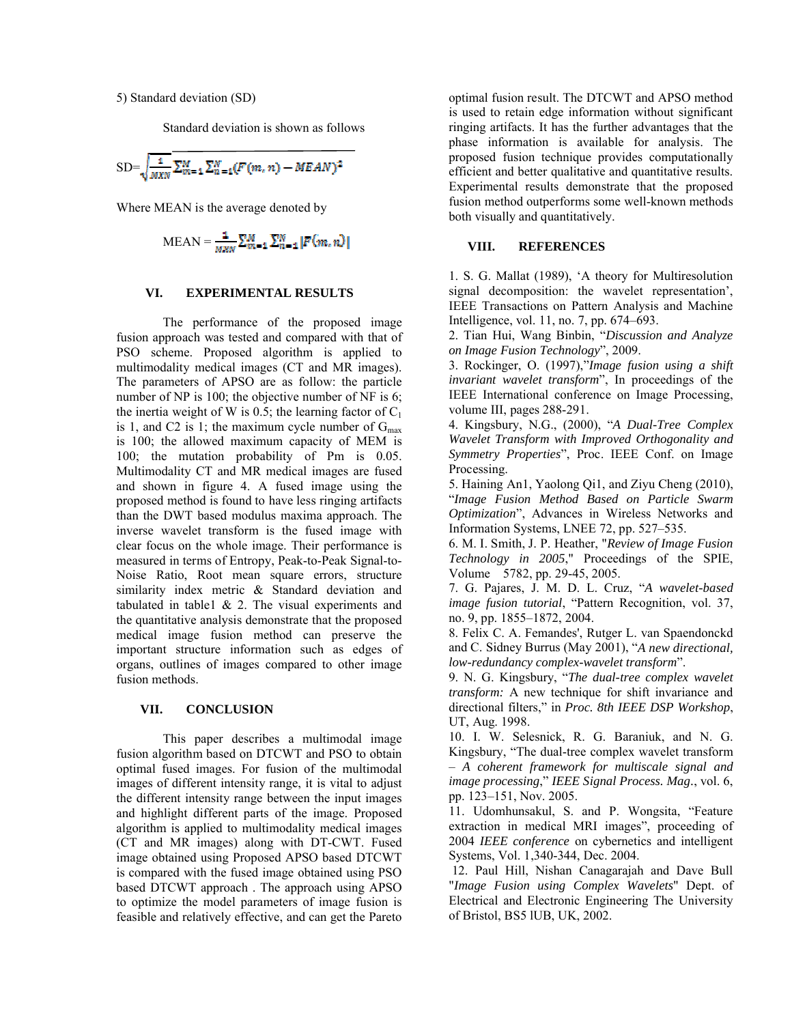5) Standard deviation (SD)

Standard deviation is shown as follows

$$
SD = \sqrt{\frac{1}{MKN}} \sum_{m=1}^{M} \sum_{n=1}^{N} (F(m, n) - MEAN)^2
$$

Where MEAN is the average denoted by

$$
MEAN = \frac{1}{M2N} \sum_{m=1}^{M} \sum_{n=1}^{N} |F(m, n)|
$$

### **VI. EXPERIMENTAL RESULTS**

The performance of the proposed image fusion approach was tested and compared with that of PSO scheme. Proposed algorithm is applied to multimodality medical images (CT and MR images). The parameters of APSO are as follow: the particle number of NP is 100; the objective number of NF is 6; the inertia weight of W is 0.5; the learning factor of  $C_1$ is 1, and C2 is 1; the maximum cycle number of  $G_{\text{max}}$ is 100; the allowed maximum capacity of MEM is 100; the mutation probability of Pm is 0.05. Multimodality CT and MR medical images are fused and shown in figure 4. A fused image using the proposed method is found to have less ringing artifacts than the DWT based modulus maxima approach. The inverse wavelet transform is the fused image with clear focus on the whole image. Their performance is measured in terms of Entropy, Peak-to-Peak Signal-to-Noise Ratio, Root mean square errors, structure similarity index metric & Standard deviation and tabulated in table1  $\&$  2. The visual experiments and the quantitative analysis demonstrate that the proposed medical image fusion method can preserve the important structure information such as edges of organs, outlines of images compared to other image fusion methods.

#### **VII. CONCLUSION**

This paper describes a multimodal image fusion algorithm based on DTCWT and PSO to obtain optimal fused images. For fusion of the multimodal images of different intensity range, it is vital to adjust the different intensity range between the input images and highlight different parts of the image. Proposed algorithm is applied to multimodality medical images (CT and MR images) along with DT-CWT. Fused image obtained using Proposed APSO based DTCWT is compared with the fused image obtained using PSO based DTCWT approach . The approach using APSO to optimize the model parameters of image fusion is feasible and relatively effective, and can get the Pareto optimal fusion result. The DTCWT and APSO method is used to retain edge information without significant ringing artifacts. It has the further advantages that the phase information is available for analysis. The proposed fusion technique provides computationally efficient and better qualitative and quantitative results. Experimental results demonstrate that the proposed fusion method outperforms some well-known methods both visually and quantitatively.

## **VIII. REFERENCES**

1. S. G. Mallat (1989), 'A theory for Multiresolution signal decomposition: the wavelet representation', IEEE Transactions on Pattern Analysis and Machine Intelligence, vol. 11, no. 7, pp. 674–693.

2. Tian Hui, Wang Binbin, "*Discussion and Analyze on Image Fusion Technology*", 2009.

3. Rockinger, O. (1997),"*Image fusion using a shift invariant wavelet transform*", In proceedings of the IEEE International conference on Image Processing, volume III, pages 288-291.

4. Kingsbury, N.G., (2000), "*A Dual-Tree Complex Wavelet Transform with Improved Orthogonality and Symmetry Properties*", Proc. IEEE Conf. on Image Processing.

5. Haining An1, Yaolong Qi1, and Ziyu Cheng (2010), "*Image Fusion Method Based on Particle Swarm Optimization*", Advances in Wireless Networks and Information Systems, LNEE 72, pp. 527–535.

6. M. I. Smith, J. P. Heather, "*Review of Image Fusion Technology in 2005*," Proceedings of the SPIE, Volume 5782, pp. 29-45, 2005.

7. G. Pajares, J. M. D. L. Cruz, "*A wavelet-based image fusion tutorial*, "Pattern Recognition, vol. 37, no. 9, pp. 1855–1872, 2004.

8. Felix C. A. Femandes', Rutger L. van Spaendonckd and C. Sidney Burrus (May 2001), "*A new directional, low-redundancy complex-wavelet transform*".

9. N. G. Kingsbury, "*The dual-tree complex wavelet transform:* A new technique for shift invariance and directional filters," in *Proc. 8th IEEE DSP Workshop*, UT, Aug. 1998.

10. I. W. Selesnick, R. G. Baraniuk, and N. G. Kingsbury, "The dual-tree complex wavelet transform – *A coherent framework for multiscale signal and image processing*," *IEEE Signal Process. Mag.*, vol. 6, pp. 123–151, Nov. 2005.

11. Udomhunsakul, S. and P. Wongsita, "Feature extraction in medical MRI images", proceeding of 2004 *IEEE conference* on cybernetics and intelligent Systems, Vol. 1,340-344, Dec. 2004.

12. Paul Hill, Nishan Canagarajah and Dave Bull "*Image Fusion using Complex Wavelets*" Dept. of Electrical and Electronic Engineering The University of Bristol, BS5 lUB, UK, 2002.